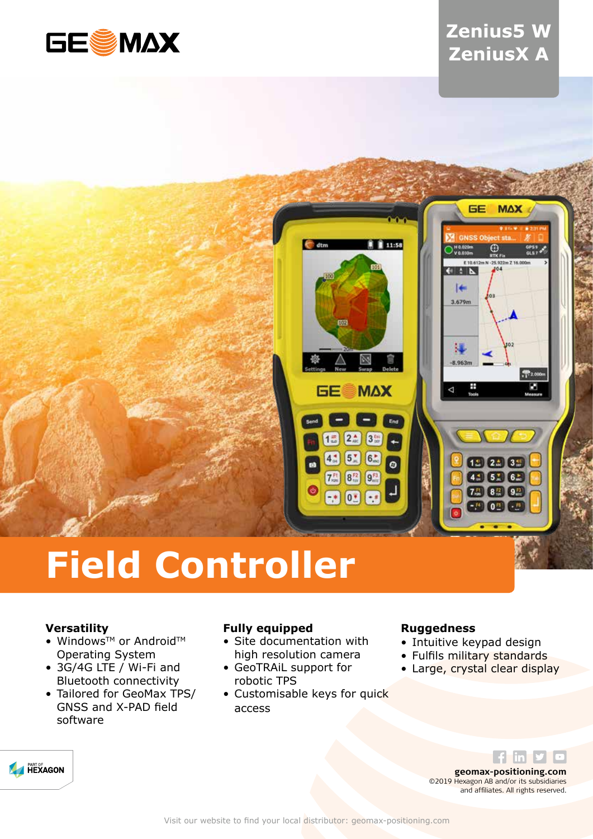

## **Zenius5 W ZeniusX A**



# **Field Controller**

### **Versatility**

- Windows™ or Android™ Operating System
- 3G/4G LTE / Wi-Fi and Bluetooth connectivity
- Tailored for GeoMax TPS/ GNSS and X-PAD field software

### **Fully equipped**

- Site documentation with high resolution camera
- GeoTRAiL support for robotic TPS
- Customisable keys for quick access

#### **Ruggedness**

- Intuitive keypad design
- Fulfils military standards
- Large, crystal clear display



**geomax-positioning.com** ©2019 Hexagon AB and/or its subsidiaries and affiliates. All rights reserved.

 $f$  in